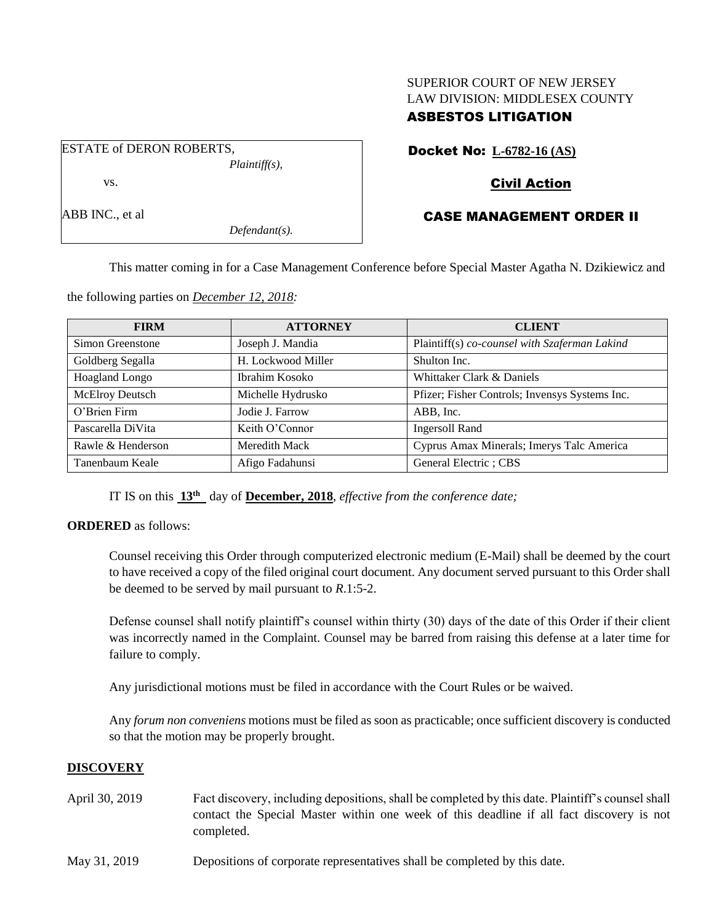# SUPERIOR COURT OF NEW JERSEY LAW DIVISION: MIDDLESEX COUNTY

## ASBESTOS LITIGATION

Docket No: **L-6782-16 (AS)**

## Civil Action

## CASE MANAGEMENT ORDER II

This matter coming in for a Case Management Conference before Special Master Agatha N. Dzikiewicz and

the following parties on *December 12, 2018:*

| <b>FIRM</b>            | <b>ATTORNEY</b>    | <b>CLIENT</b>                                  |
|------------------------|--------------------|------------------------------------------------|
| Simon Greenstone       | Joseph J. Mandia   | Plaintiff(s) co-counsel with Szaferman Lakind  |
| Goldberg Segalla       | H. Lockwood Miller | Shulton Inc.                                   |
| Hoagland Longo         | Ibrahim Kosoko     | Whittaker Clark & Daniels                      |
| <b>McElroy Deutsch</b> | Michelle Hydrusko  | Pfizer; Fisher Controls; Invensys Systems Inc. |
| O'Brien Firm           | Jodie J. Farrow    | ABB, Inc.                                      |
| Pascarella DiVita      | Keith O'Connor     | <b>Ingersoll Rand</b>                          |
| Rawle & Henderson      | Meredith Mack      | Cyprus Amax Minerals; Imerys Talc America      |
| Tanenbaum Keale        | Afigo Fadahunsi    | General Electric; CBS                          |

IT IS on this **13th** day of **December, 2018**, *effective from the conference date;*

**ORDERED** as follows:

Counsel receiving this Order through computerized electronic medium (E-Mail) shall be deemed by the court to have received a copy of the filed original court document. Any document served pursuant to this Order shall be deemed to be served by mail pursuant to *R*.1:5-2.

Defense counsel shall notify plaintiff's counsel within thirty (30) days of the date of this Order if their client was incorrectly named in the Complaint. Counsel may be barred from raising this defense at a later time for failure to comply.

Any jurisdictional motions must be filed in accordance with the Court Rules or be waived.

Any *forum non conveniens* motions must be filed as soon as practicable; once sufficient discovery is conducted so that the motion may be properly brought.

### **DISCOVERY**

- April 30, 2019 Fact discovery, including depositions, shall be completed by this date. Plaintiff's counsel shall contact the Special Master within one week of this deadline if all fact discovery is not completed.
- May 31, 2019 Depositions of corporate representatives shall be completed by this date.

ESTATE of DERON ROBERTS, *Plaintiff(s),* vs.

ABB INC., et al

*Defendant(s).*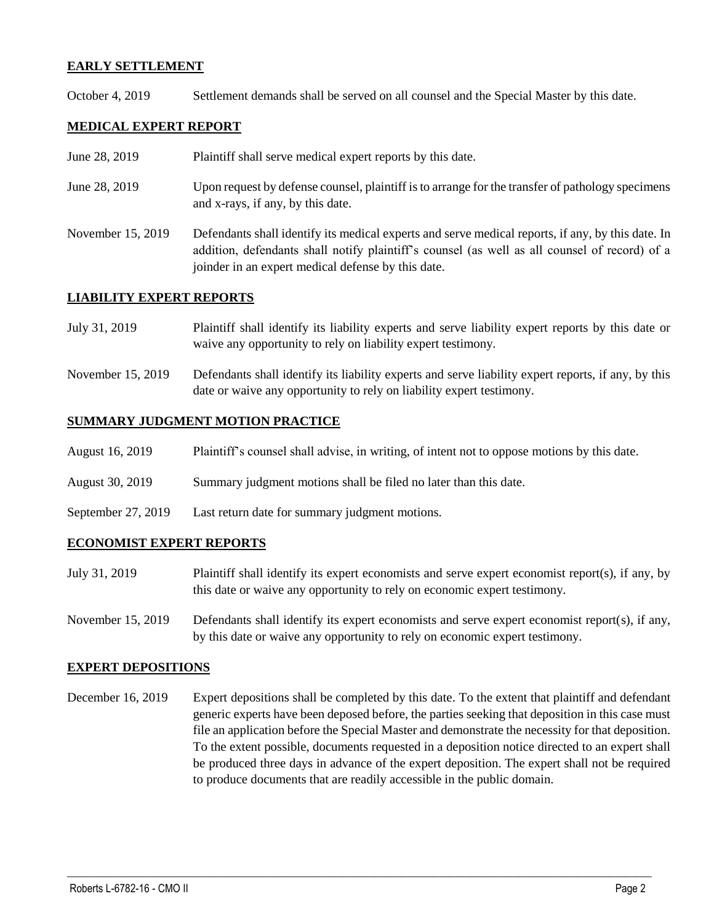## **EARLY SETTLEMENT**

October 4, 2019 Settlement demands shall be served on all counsel and the Special Master by this date.

## **MEDICAL EXPERT REPORT**

- June 28, 2019 Plaintiff shall serve medical expert reports by this date.
- June 28, 2019 Upon request by defense counsel, plaintiff is to arrange for the transfer of pathology specimens and x-rays, if any, by this date.
- November 15, 2019 Defendants shall identify its medical experts and serve medical reports, if any, by this date. In addition, defendants shall notify plaintiff's counsel (as well as all counsel of record) of a joinder in an expert medical defense by this date.

### **LIABILITY EXPERT REPORTS**

- July 31, 2019 Plaintiff shall identify its liability experts and serve liability expert reports by this date or waive any opportunity to rely on liability expert testimony.
- November 15, 2019 Defendants shall identify its liability experts and serve liability expert reports, if any, by this date or waive any opportunity to rely on liability expert testimony.

#### **SUMMARY JUDGMENT MOTION PRACTICE**

- August 16, 2019 Plaintiff's counsel shall advise, in writing, of intent not to oppose motions by this date.
- August 30, 2019 Summary judgment motions shall be filed no later than this date.
- September 27, 2019 Last return date for summary judgment motions.

### **ECONOMIST EXPERT REPORTS**

- July 31, 2019 Plaintiff shall identify its expert economists and serve expert economist report(s), if any, by this date or waive any opportunity to rely on economic expert testimony.
- November 15, 2019 Defendants shall identify its expert economists and serve expert economist report(s), if any, by this date or waive any opportunity to rely on economic expert testimony.

### **EXPERT DEPOSITIONS**

December 16, 2019 Expert depositions shall be completed by this date. To the extent that plaintiff and defendant generic experts have been deposed before, the parties seeking that deposition in this case must file an application before the Special Master and demonstrate the necessity for that deposition. To the extent possible, documents requested in a deposition notice directed to an expert shall be produced three days in advance of the expert deposition. The expert shall not be required to produce documents that are readily accessible in the public domain.

 $\_$  ,  $\_$  ,  $\_$  ,  $\_$  ,  $\_$  ,  $\_$  ,  $\_$  ,  $\_$  ,  $\_$  ,  $\_$  ,  $\_$  ,  $\_$  ,  $\_$  ,  $\_$  ,  $\_$  ,  $\_$  ,  $\_$  ,  $\_$  ,  $\_$  ,  $\_$  ,  $\_$  ,  $\_$  ,  $\_$  ,  $\_$  ,  $\_$  ,  $\_$  ,  $\_$  ,  $\_$  ,  $\_$  ,  $\_$  ,  $\_$  ,  $\_$  ,  $\_$  ,  $\_$  ,  $\_$  ,  $\_$  ,  $\_$  ,